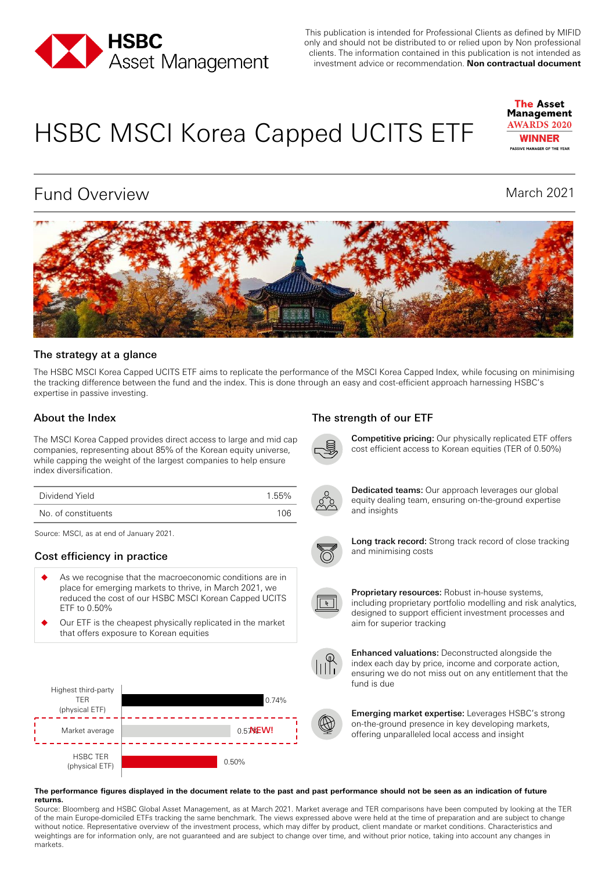

This publication is intended for Professional Clients as defined by MIFID only and should not be distributed to or relied upon by Non professional clients. The information contained in this publication is not intended as investment advice or recommendation. **Non contractual document**

# HSBC MSCI Korea Capped UCITS ETF



# Fund Overview March 2021



#### The strategy at a glance

The HSBC MSCI Korea Capped UCITS ETF aims to replicate the performance of the MSCI Korea Capped Index, while focusing on minimising the tracking difference between the fund and the index. This is done through an easy and cost-efficient approach harnessing HSBC's expertise in passive investing.

The MSCI Korea Capped provides direct access to large and mid cap companies, representing about 85% of the Korean equity universe, while capping the weight of the largest companies to help ensure index diversification.

| Dividend Yield      | 1.55% |
|---------------------|-------|
| No. of constituents | 106   |

Source: MSCI, as at end of January 2021.

### Cost efficiency in practice

- As we recognise that the macroeconomic conditions are in place for emerging markets to thrive, in March 2021, we reduced the cost of our HSBC MSCI Korean Capped UCITS ETF to 0.50%
- Our ETF is the cheapest physically replicated in the market that offers exposure to Korean equities



### About the Index The strength of our ETF



Competitive pricing: Our physically replicated ETF offers cost efficient access to Korean equities (TER of 0.50%)



Dedicated teams: Our approach leverages our global equity dealing team, ensuring on-the-ground expertise and insights



Long track record: Strong track record of close tracking and minimising costs



Proprietary resources: Robust in-house systems, including proprietary portfolio modelling and risk analytics, designed to support efficient investment processes and aim for superior tracking



Enhanced valuations: Deconstructed alongside the index each day by price, income and corporate action, ensuring we do not miss out on any entitlement that the fund is due



Emerging market expertise: Leverages HSBC's strong on-the-ground presence in key developing markets, offering unparalleled local access and insight

#### **The performance figures displayed in the document relate to the past and past performance should not be seen as an indication of future returns.**

Source: Bloomberg and HSBC Global Asset Management, as at March 2021. Market average and TER comparisons have been computed by looking at the TER of the main Europe-domiciled ETFs tracking the same benchmark. The views expressed above were held at the time of preparation and are subject to change without notice. Representative overview of the investment process, which may differ by product, client mandate or market conditions. Characteristics and weightings are for information only, are not guaranteed and are subject to change over time, and without prior notice, taking into account any changes in markets.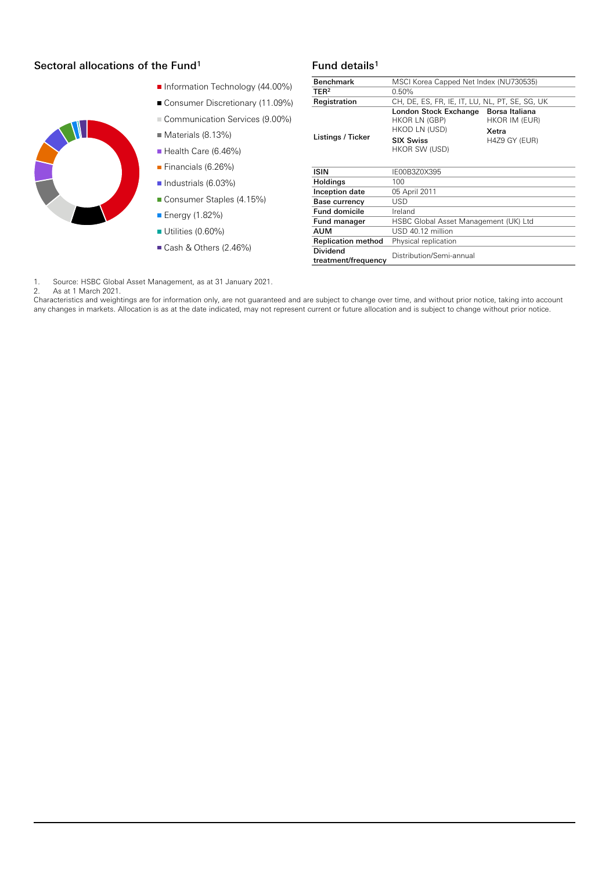#### Fund details Sectoral allocations of the Fund1 <sup>1</sup>

- Information Technology (44.00%)
- Consumer Discretionary (11.09%)
- Communication Services (9.00%)
- Materials (8.13%)
- Health Care (6.46%)
- Financials (6.26%)
- Industrials (6.03%)
- Consumer Staples (4.15%)
- **Energy (1.82%)**
- Utilities (0.60%)
- Cash & Others (2.46%)

| <b>Benchmark</b>                       | MSCI Korea Capped Net Index (NU730535)                  |                                          |  |  |  |  |
|----------------------------------------|---------------------------------------------------------|------------------------------------------|--|--|--|--|
| TER <sup>2</sup>                       | 0.50%                                                   |                                          |  |  |  |  |
| Registration                           | CH, DE, ES, FR, IE, IT, LU, NL, PT, SE, SG, UK          |                                          |  |  |  |  |
| Listings / Ticker                      | London Stock Exchange<br>HKOR LN (GBP)<br>HKOD LN (USD) | Borsa Italiana<br>HKOR IM (EUR)<br>Xetra |  |  |  |  |
|                                        | <b>SIX Swiss</b><br>HKOR SW (USD)                       | H4Z9 GY (EUR)                            |  |  |  |  |
| <b>ISIN</b>                            | IE00B3Z0X395                                            |                                          |  |  |  |  |
| Holdings                               | 100                                                     |                                          |  |  |  |  |
| Inception date                         | 05 April 2011                                           |                                          |  |  |  |  |
| Base currency                          | <b>USD</b>                                              |                                          |  |  |  |  |
| <b>Fund domicile</b>                   | Ireland                                                 |                                          |  |  |  |  |
| Fund manager                           | HSBC Global Asset Management (UK) Ltd                   |                                          |  |  |  |  |
| <b>AUM</b>                             | USD 40.12 million                                       |                                          |  |  |  |  |
| <b>Replication method</b>              | Physical replication                                    |                                          |  |  |  |  |
| <b>Dividend</b><br>treatment/frequency | Distribution/Semi-annual                                |                                          |  |  |  |  |

1. Source: HSBC Global Asset Management, as at 31 January 2021.

2. As at 1 March 2021.

Characteristics and weightings are for information only, are not guaranteed and are subject to change over time, and without prior notice, taking into account any changes in markets. Allocation is as at the date indicated, may not represent current or future allocation and is subject to change without prior notice.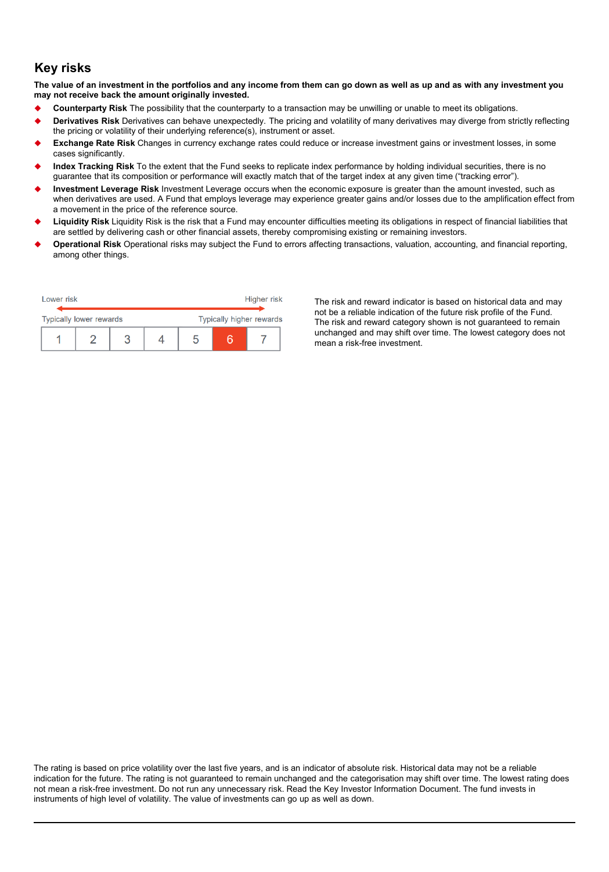## **Key risks**

**The value of an investment in the portfolios and any income from them can go down as well as up and as with any investment you may not receive back the amount originally invested.** 

- **Counterparty Risk** The possibility that the counterparty to a transaction may be unwilling or unable to meet its obligations.
- **Derivatives Risk** Derivatives can behave unexpectedly. The pricing and volatility of many derivatives may diverge from strictly reflecting the pricing or volatility of their underlying reference(s), instrument or asset.
- **Exchange Rate Risk** Changes in currency exchange rates could reduce or increase investment gains or investment losses, in some cases significantly.
- **Index Tracking Risk** To the extent that the Fund seeks to replicate index performance by holding individual securities, there is no guarantee that its composition or performance will exactly match that of the target index at any given time ("tracking error").
- **Investment Leverage Risk** Investment Leverage occurs when the economic exposure is greater than the amount invested, such as when derivatives are used. A Fund that employs leverage may experience greater gains and/or losses due to the amplification effect from a movement in the price of the reference source.
- **Liquidity Risk** Liquidity Risk is the risk that a Fund may encounter difficulties meeting its obligations in respect of financial liabilities that are settled by delivering cash or other financial assets, thereby compromising existing or remaining investors.
- **Operational Risk** Operational risks may subject the Fund to errors affecting transactions, valuation, accounting, and financial reporting, among other things.

| Lower risk                     |  |  |  | Higher risk                     |  |  |  |
|--------------------------------|--|--|--|---------------------------------|--|--|--|
|                                |  |  |  |                                 |  |  |  |
| <b>Typically lower rewards</b> |  |  |  | <b>Typically higher rewards</b> |  |  |  |
|                                |  |  |  |                                 |  |  |  |

The risk and reward indicator is based on historical data and may not be a reliable indication of the future risk profile of the Fund. The risk and reward category shown is not guaranteed to remain unchanged and may shift over time. The lowest category does not mean a risk-free investment.

The rating is based on price volatility over the last five years, and is an indicator of absolute risk. Historical data may not be a reliable indication for the future. The rating is not guaranteed to remain unchanged and the categorisation may shift over time. The lowest rating does not mean a risk-free investment. Do not run any unnecessary risk. Read the Key Investor Information Document. The fund invests in instruments of high level of volatility. The value of investments can go up as well as down.